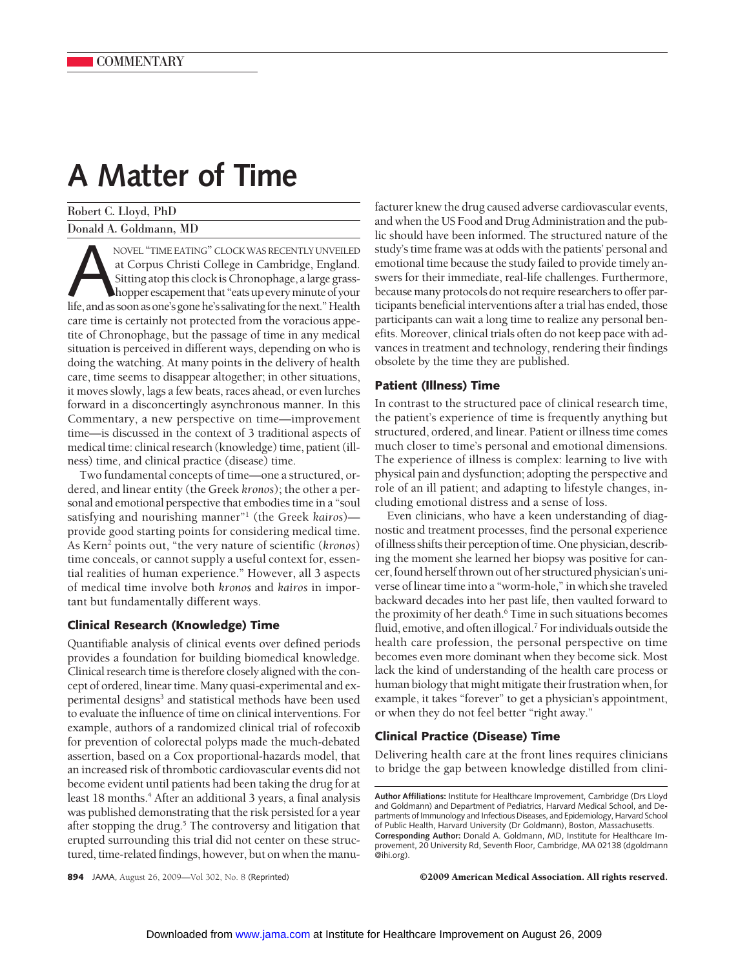# **A Matter of Time**

Robert C. Lloyd, PhD Donald A. Goldmann, MD

NOVEL "TIME EATING" CLOCK WAS RECENTLY UNVEILED<br>at Corpus Christi College in Cambridge, England.<br>Sitting atop this clock is Chronophage, a large grass-<br>hopper escapement that "eats up every minute of your<br>life, and as soon at Corpus Christi College in Cambridge, England. Sitting atop this clock is Chronophage, a large grasshopper escapement that "eats up every minute of your care time is certainly not protected from the voracious appetite of Chronophage, but the passage of time in any medical situation is perceived in different ways, depending on who is doing the watching. At many points in the delivery of health care, time seems to disappear altogether; in other situations, it moves slowly, lags a few beats, races ahead, or even lurches forward in a disconcertingly asynchronous manner. In this Commentary, a new perspective on time—improvement time—is discussed in the context of 3 traditional aspects of medical time: clinical research (knowledge) time, patient (illness) time, and clinical practice (disease) time.

Two fundamental concepts of time—one a structured, ordered, and linear entity (the Greek *kronos*); the other a personal and emotional perspective that embodies time in a "soul satisfying and nourishing manner"1 (the Greek *kairos*) provide good starting points for considering medical time. As Kern2 points out, "the very nature of scientific (*kronos*) time conceals, or cannot supply a useful context for, essential realities of human experience." However, all 3 aspects of medical time involve both *kronos* and *kairos* in important but fundamentally different ways.

# **Clinical Research (Knowledge) Time**

Quantifiable analysis of clinical events over defined periods provides a foundation for building biomedical knowledge. Clinical research time is therefore closely aligned with the concept of ordered, linear time. Many quasi-experimental and experimental designs<sup>3</sup> and statistical methods have been used to evaluate the influence of time on clinical interventions. For example, authors of a randomized clinical trial of rofecoxib for prevention of colorectal polyps made the much-debated assertion, based on a Cox proportional-hazards model, that an increased risk of thrombotic cardiovascular events did not become evident until patients had been taking the drug for at least 18 months.<sup>4</sup> After an additional 3 years, a final analysis was published demonstrating that the risk persisted for a year after stopping the drug.<sup>5</sup> The controversy and litigation that erupted surrounding this trial did not center on these structured, time-related findings, however, but on when the manufacturer knew the drug caused adverse cardiovascular events, and when the US Food and Drug Administration and the public should have been informed. The structured nature of the study's time frame was at odds with the patients' personal and emotional time because the study failed to provide timely answers for their immediate, real-life challenges. Furthermore, because many protocols do not require researchers to offer participants beneficial interventions after a trial has ended, those participants can wait a long time to realize any personal benefits. Moreover, clinical trials often do not keep pace with advances in treatment and technology, rendering their findings obsolete by the time they are published.

## **Patient (Illness) Time**

In contrast to the structured pace of clinical research time, the patient's experience of time is frequently anything but structured, ordered, and linear. Patient or illness time comes much closer to time's personal and emotional dimensions. The experience of illness is complex: learning to live with physical pain and dysfunction; adopting the perspective and role of an ill patient; and adapting to lifestyle changes, including emotional distress and a sense of loss.

Even clinicians, who have a keen understanding of diagnostic and treatment processes, find the personal experience ofillness shifts their perception of time.One physician, describing the moment she learned her biopsy was positive for cancer, found herself thrown out of her structured physician's universe of linear time into a "worm-hole," in which she traveled backward decades into her past life, then vaulted forward to the proximity of her death.<sup>6</sup> Time in such situations becomes fluid, emotive, and often illogical.7 For individuals outside the health care profession, the personal perspective on time becomes even more dominant when they become sick. Most lack the kind of understanding of the health care process or human biology that might mitigate their frustration when, for example, it takes "forever" to get a physician's appointment, or when they do not feel better "right away."

# **Clinical Practice (Disease) Time**

Delivering health care at the front lines requires clinicians to bridge the gap between knowledge distilled from clini-

**894** JAMA, August 26, 2009—Vol 302, No. 8 (Reprinted) ©2009 American Medical Association. All rights reserved.

**Author Affiliations:** Institute for Healthcare Improvement, Cambridge (Drs Lloyd and Goldmann) and Department of Pediatrics, Harvard Medical School, and Departments of Immunology and Infectious Diseases, and Epidemiology, Harvard School of Public Health, Harvard University (Dr Goldmann), Boston, Massachusetts. **Corresponding Author:** Donald A. Goldmann, MD, Institute for Healthcare Improvement, 20 University Rd, Seventh Floor, Cambridge, MA 02138 (dgoldmann @ihi.org).